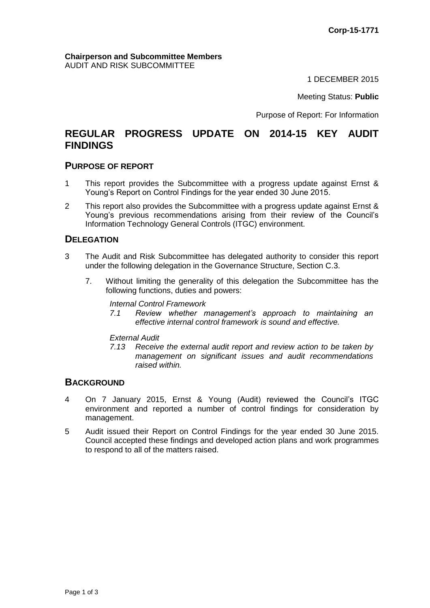#### **Chairperson and Subcommittee Members** AUDIT AND RISK SUBCOMMITTEE

1 DECEMBER 2015

Meeting Status: **Public**

Purpose of Report: For Information

# **REGULAR PROGRESS UPDATE ON 2014-15 KEY AUDIT FINDINGS**

#### **PURPOSE OF REPORT**

- 1 This report provides the Subcommittee with a progress update against Ernst & Young's Report on Control Findings for the year ended 30 June 2015.
- 2 This report also provides the Subcommittee with a progress update against Ernst & Young's previous recommendations arising from their review of the Council's Information Technology General Controls (ITGC) environment.

### **DELEGATION**

- 3 The Audit and Risk Subcommittee has delegated authority to consider this report under the following delegation in the Governance Structure, Section C.3.
	- 7. Without limiting the generality of this delegation the Subcommittee has the following functions, duties and powers:

*Internal Control Framework*

*7.1 Review whether management's approach to maintaining an effective internal control framework is sound and effective.*

*External Audit*

*7.13 Receive the external audit report and review action to be taken by management on significant issues and audit recommendations raised within.*

### **BACKGROUND**

- 4 On 7 January 2015, Ernst & Young (Audit) reviewed the Council's ITGC environment and reported a number of control findings for consideration by management.
- 5 Audit issued their Report on Control Findings for the year ended 30 June 2015. Council accepted these findings and developed action plans and work programmes to respond to all of the matters raised.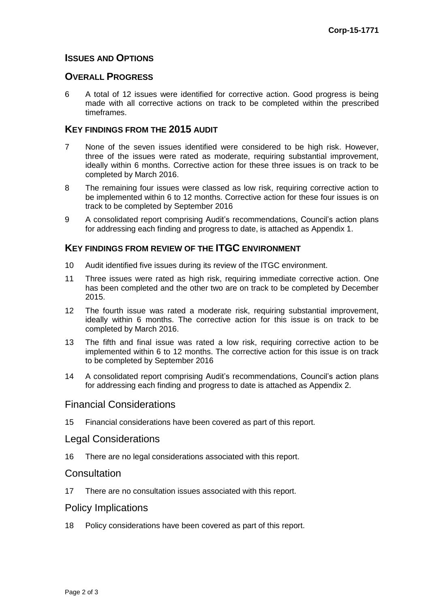# **ISSUES AND OPTIONS**

#### **OVERALL PROGRESS**

6 A total of 12 issues were identified for corrective action. Good progress is being made with all corrective actions on track to be completed within the prescribed timeframes.

#### **KEY FINDINGS FROM THE 2015 AUDIT**

- 7 None of the seven issues identified were considered to be high risk. However, three of the issues were rated as moderate, requiring substantial improvement, ideally within 6 months. Corrective action for these three issues is on track to be completed by March 2016.
- 8 The remaining four issues were classed as low risk, requiring corrective action to be implemented within 6 to 12 months. Corrective action for these four issues is on track to be completed by September 2016
- 9 A consolidated report comprising Audit's recommendations, Council's action plans for addressing each finding and progress to date, is attached as Appendix 1.

# **KEY FINDINGS FROM REVIEW OF THE ITGC ENVIRONMENT**

- 10 Audit identified five issues during its review of the ITGC environment.
- 11 Three issues were rated as high risk, requiring immediate corrective action. One has been completed and the other two are on track to be completed by December 2015.
- 12 The fourth issue was rated a moderate risk, requiring substantial improvement, ideally within 6 months. The corrective action for this issue is on track to be completed by March 2016.
- 13 The fifth and final issue was rated a low risk, requiring corrective action to be implemented within 6 to 12 months. The corrective action for this issue is on track to be completed by September 2016
- 14 A consolidated report comprising Audit's recommendations, Council's action plans for addressing each finding and progress to date is attached as Appendix 2.

### Financial Considerations

15 Financial considerations have been covered as part of this report.

### Legal Considerations

16 There are no legal considerations associated with this report.

# **Consultation**

17 There are no consultation issues associated with this report.

# Policy Implications

18 Policy considerations have been covered as part of this report.